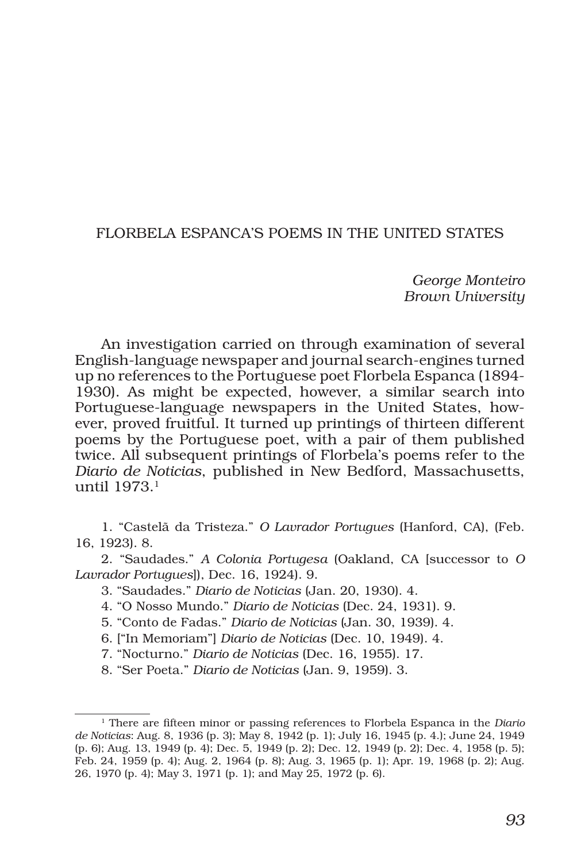## FLORBELA ESPANCA'S POEMS IN THE UNITED STATES

*George Monteiro Brown University*

An investigation carried on through examination of several English-language newspaper and journal search-engines turned up no references to the Portuguese poet Florbela Espanca (1894- 1930). As might be expected, however, a similar search into Portuguese-language newspapers in the United States, however, proved fruitful. It turned up printings of thirteen different poems by the Portuguese poet, with a pair of them published twice. All subsequent printings of Florbela's poems refer to the *Diario de Noticias*, published in New Bedford, Massachusetts, until 1973.1

1. "Castelã da Tristeza." *O Lavrador Portugues* (Hanford, CA), (Feb. 16, 1923). 8.

2. "Saudades." *A Colonia Portugesa* (Oakland, CA [successor to *O Lavrador Portugues*]), Dec. 16, 1924). 9.

- 3. "Saudades." *Diario de Noticias* (Jan. 20, 1930). 4.
- 4. "O Nosso Mundo." *Diario de Noticias* (Dec. 24, 1931). 9.
- 5. "Conto de Fadas." *Diario de Noticias* (Jan. 30, 1939). 4.
- 6. ["In Memoriam"] *Diario de Noticias* (Dec. 10, 1949). 4.
- 7. "Nocturno." *Diario de Noticias* (Dec. 16, 1955). 17.
- 8. "Ser Poeta." *Diario de Noticias* (Jan. 9, 1959). 3.

<sup>1</sup> There are fifteen minor or passing references to Florbela Espanca in the *Diario de Noticias*: Aug. 8, 1936 (p. 3); May 8, 1942 (p. 1); July 16, 1945 (p. 4.); June 24, 1949 (p. 6); Aug. 13, 1949 (p. 4); Dec. 5, 1949 (p. 2); Dec. 12, 1949 (p. 2); Dec. 4, 1958 (p. 5); Feb. 24, 1959 (p. 4); Aug. 2, 1964 (p. 8); Aug. 3, 1965 (p. 1); Apr. 19, 1968 (p. 2); Aug. 26, 1970 (p. 4); May 3, 1971 (p. 1); and May 25, 1972 (p. 6).